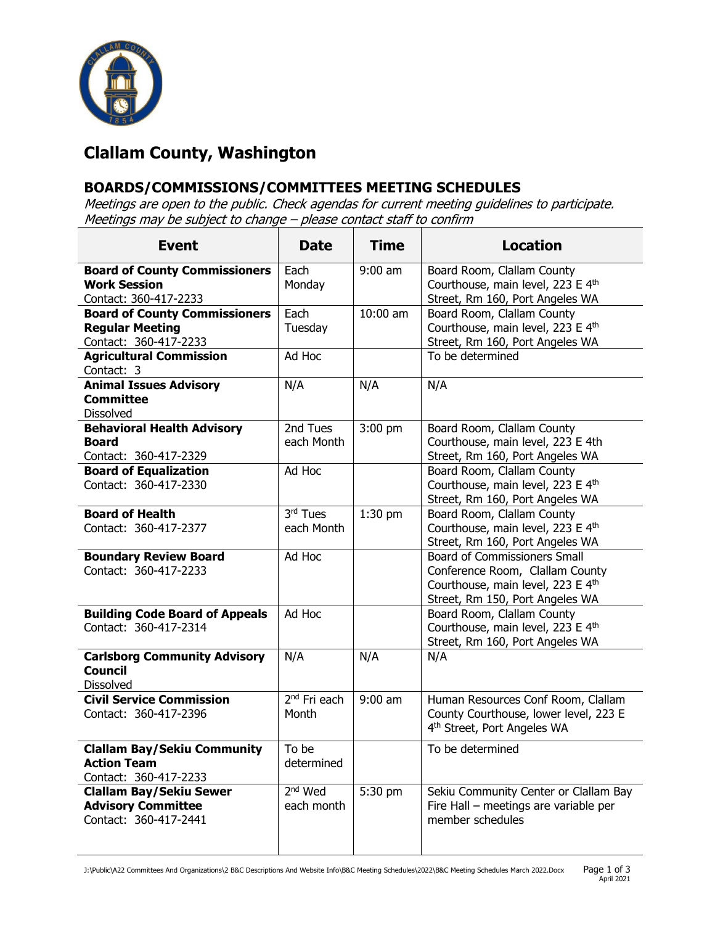

## **Clallam County, Washington**

## **BOARDS/COMMISSIONS/COMMITTEES MEETING SCHEDULES**

Meetings are open to the public. Check agendas for current meeting guidelines to participate. Meetings may be subject to change – please contact staff to confirm

| <b>Event</b>                                                                            | <b>Date</b>                       | <b>Time</b> | <b>Location</b>                                                                                                                                |
|-----------------------------------------------------------------------------------------|-----------------------------------|-------------|------------------------------------------------------------------------------------------------------------------------------------------------|
| <b>Board of County Commissioners</b><br><b>Work Session</b><br>Contact: 360-417-2233    | Each<br>Monday                    | $9:00$ am   | Board Room, Clallam County<br>Courthouse, main level, 223 E 4th<br>Street, Rm 160, Port Angeles WA                                             |
| <b>Board of County Commissioners</b><br><b>Regular Meeting</b><br>Contact: 360-417-2233 | Each<br>Tuesday                   | 10:00 am    | Board Room, Clallam County<br>Courthouse, main level, 223 E 4th<br>Street, Rm 160, Port Angeles WA                                             |
| <b>Agricultural Commission</b><br>Contact: 3                                            | Ad Hoc                            |             | To be determined                                                                                                                               |
| <b>Animal Issues Advisory</b><br><b>Committee</b><br><b>Dissolved</b>                   | N/A                               | N/A         | N/A                                                                                                                                            |
| <b>Behavioral Health Advisory</b><br><b>Board</b><br>Contact: 360-417-2329              | 2nd Tues<br>each Month            | 3:00 pm     | Board Room, Clallam County<br>Courthouse, main level, 223 E 4th<br>Street, Rm 160, Port Angeles WA                                             |
| <b>Board of Equalization</b><br>Contact: 360-417-2330                                   | Ad Hoc                            |             | Board Room, Clallam County<br>Courthouse, main level, 223 E 4th<br>Street, Rm 160, Port Angeles WA                                             |
| <b>Board of Health</b><br>Contact: 360-417-2377                                         | 3rd Tues<br>each Month            | $1:30$ pm   | Board Room, Clallam County<br>Courthouse, main level, 223 E 4th<br>Street, Rm 160, Port Angeles WA                                             |
| <b>Boundary Review Board</b><br>Contact: 360-417-2233                                   | Ad Hoc                            |             | <b>Board of Commissioners Small</b><br>Conference Room, Clallam County<br>Courthouse, main level, 223 E 4th<br>Street, Rm 150, Port Angeles WA |
| <b>Building Code Board of Appeals</b><br>Contact: 360-417-2314                          | Ad Hoc                            |             | Board Room, Clallam County<br>Courthouse, main level, 223 E 4th<br>Street, Rm 160, Port Angeles WA                                             |
| <b>Carlsborg Community Advisory</b><br><b>Council</b><br><b>Dissolved</b>               | N/A                               | N/A         | N/A                                                                                                                                            |
| <b>Civil Service Commission</b><br>Contact: 360-417-2396                                | 2 <sup>nd</sup> Fri each<br>Month | $9:00$ am   | Human Resources Conf Room, Clallam<br>County Courthouse, lower level, 223 E<br>4 <sup>th</sup> Street, Port Angeles WA                         |
| <b>Clallam Bay/Sekiu Community</b><br><b>Action Team</b><br>Contact: 360-417-2233       | To be<br>determined               |             | To be determined                                                                                                                               |
| <b>Clallam Bay/Sekiu Sewer</b><br><b>Advisory Committee</b><br>Contact: 360-417-2441    | $2nd$ Wed<br>each month           | 5:30 pm     | Sekiu Community Center or Clallam Bay<br>Fire Hall - meetings are variable per<br>member schedules                                             |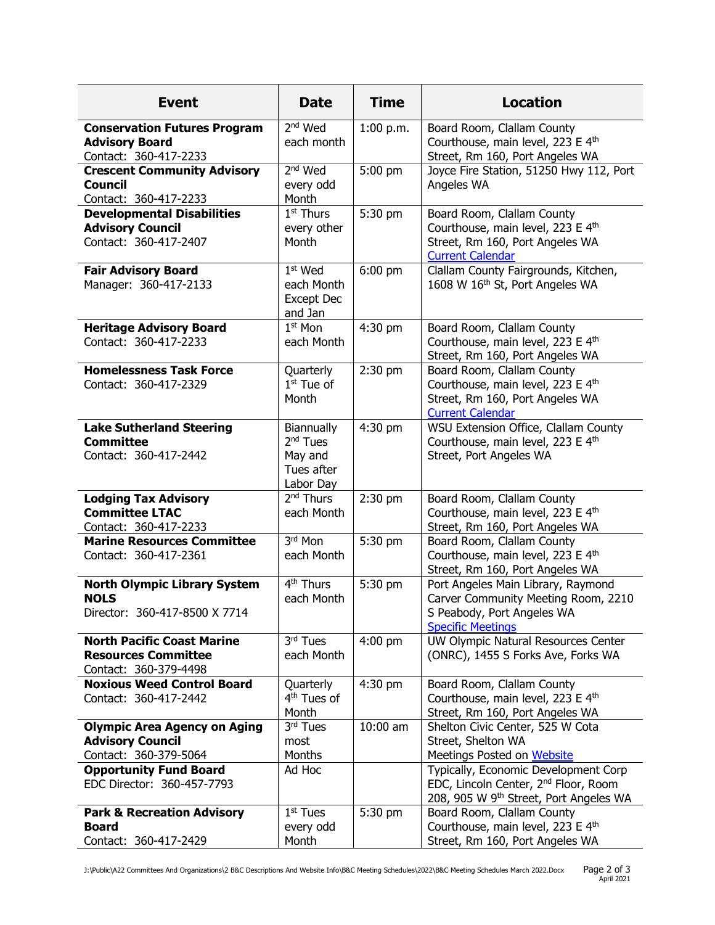| <b>Event</b>                                                                             | <b>Date</b>                                                              | <b>Time</b> | <b>Location</b>                                                                                                                     |
|------------------------------------------------------------------------------------------|--------------------------------------------------------------------------|-------------|-------------------------------------------------------------------------------------------------------------------------------------|
| <b>Conservation Futures Program</b><br><b>Advisory Board</b><br>Contact: 360-417-2233    | 2 <sup>nd</sup> Wed<br>each month                                        | 1:00 p.m.   | Board Room, Clallam County<br>Courthouse, main level, 223 E 4th<br>Street, Rm 160, Port Angeles WA                                  |
| <b>Crescent Community Advisory</b><br><b>Council</b><br>Contact: 360-417-2233            | 2 <sup>nd</sup> Wed<br>every odd<br>Month                                | 5:00 pm     | Joyce Fire Station, 51250 Hwy 112, Port<br>Angeles WA                                                                               |
| <b>Developmental Disabilities</b><br><b>Advisory Council</b><br>Contact: 360-417-2407    | $1st$ Thurs<br>every other<br>Month                                      | 5:30 pm     | Board Room, Clallam County<br>Courthouse, main level, 223 E 4th<br>Street, Rm 160, Port Angeles WA<br><b>Current Calendar</b>       |
| <b>Fair Advisory Board</b><br>Manager: 360-417-2133                                      | $1st$ Wed<br>each Month<br>Except Dec<br>and Jan                         | 6:00 pm     | Clallam County Fairgrounds, Kitchen,<br>1608 W 16th St, Port Angeles WA                                                             |
| <b>Heritage Advisory Board</b><br>Contact: 360-417-2233                                  | $1st$ Mon<br>each Month                                                  | 4:30 pm     | Board Room, Clallam County<br>Courthouse, main level, 223 E 4th<br>Street, Rm 160, Port Angeles WA                                  |
| <b>Homelessness Task Force</b><br>Contact: 360-417-2329                                  | Quarterly<br>$1st$ Tue of<br>Month                                       | 2:30 pm     | Board Room, Clallam County<br>Courthouse, main level, 223 E 4th<br>Street, Rm 160, Port Angeles WA<br><b>Current Calendar</b>       |
| <b>Lake Sutherland Steering</b><br><b>Committee</b><br>Contact: 360-417-2442             | Biannually<br>2 <sup>nd</sup> Tues<br>May and<br>Tues after<br>Labor Day | 4:30 pm     | WSU Extension Office, Clallam County<br>Courthouse, main level, 223 E 4th<br>Street, Port Angeles WA                                |
| <b>Lodging Tax Advisory</b><br><b>Committee LTAC</b><br>Contact: 360-417-2233            | 2 <sup>nd</sup> Thurs<br>each Month                                      | $2:30$ pm   | Board Room, Clallam County<br>Courthouse, main level, 223 E 4th<br>Street, Rm 160, Port Angeles WA                                  |
| <b>Marine Resources Committee</b><br>Contact: 360-417-2361                               | 3rd Mon<br>each Month                                                    | 5:30 pm     | Board Room, Clallam County<br>Courthouse, main level, 223 E 4th<br>Street, Rm 160, Port Angeles WA                                  |
| <b>North Olympic Library System</b><br><b>NOLS</b><br>Director: 360-417-8500 X 7714      | 4 <sup>th</sup> Thurs<br>each Month                                      | 5:30 pm     | Port Angeles Main Library, Raymond<br>Carver Community Meeting Room, 2210<br>S Peabody, Port Angeles WA<br><b>Specific Meetings</b> |
| <b>North Pacific Coast Marine</b><br><b>Resources Committee</b><br>Contact: 360-379-4498 | 3rd Tues<br>each Month                                                   | $4:00$ pm   | UW Olympic Natural Resources Center<br>(ONRC), 1455 S Forks Ave, Forks WA                                                           |
| <b>Noxious Weed Control Board</b><br>Contact: 360-417-2442                               | Quarterly<br>4 <sup>th</sup> Tues of<br>Month                            | $4:30$ pm   | Board Room, Clallam County<br>Courthouse, main level, 223 E 4th<br>Street, Rm 160, Port Angeles WA                                  |
| <b>Olympic Area Agency on Aging</b><br><b>Advisory Council</b><br>Contact: 360-379-5064  | 3rd Tues<br>most<br>Months                                               | 10:00 am    | Shelton Civic Center, 525 W Cota<br>Street, Shelton WA<br>Meetings Posted on Website                                                |
| <b>Opportunity Fund Board</b><br>EDC Director: 360-457-7793                              | Ad Hoc                                                                   |             | Typically, Economic Development Corp<br>EDC, Lincoln Center, 2 <sup>nd</sup> Floor, Room<br>208, 905 W 9th Street, Port Angeles WA  |
| <b>Park &amp; Recreation Advisory</b><br><b>Board</b><br>Contact: 360-417-2429           | $1st$ Tues<br>every odd<br>Month                                         | 5:30 pm     | Board Room, Clallam County<br>Courthouse, main level, 223 E 4th<br>Street, Rm 160, Port Angeles WA                                  |